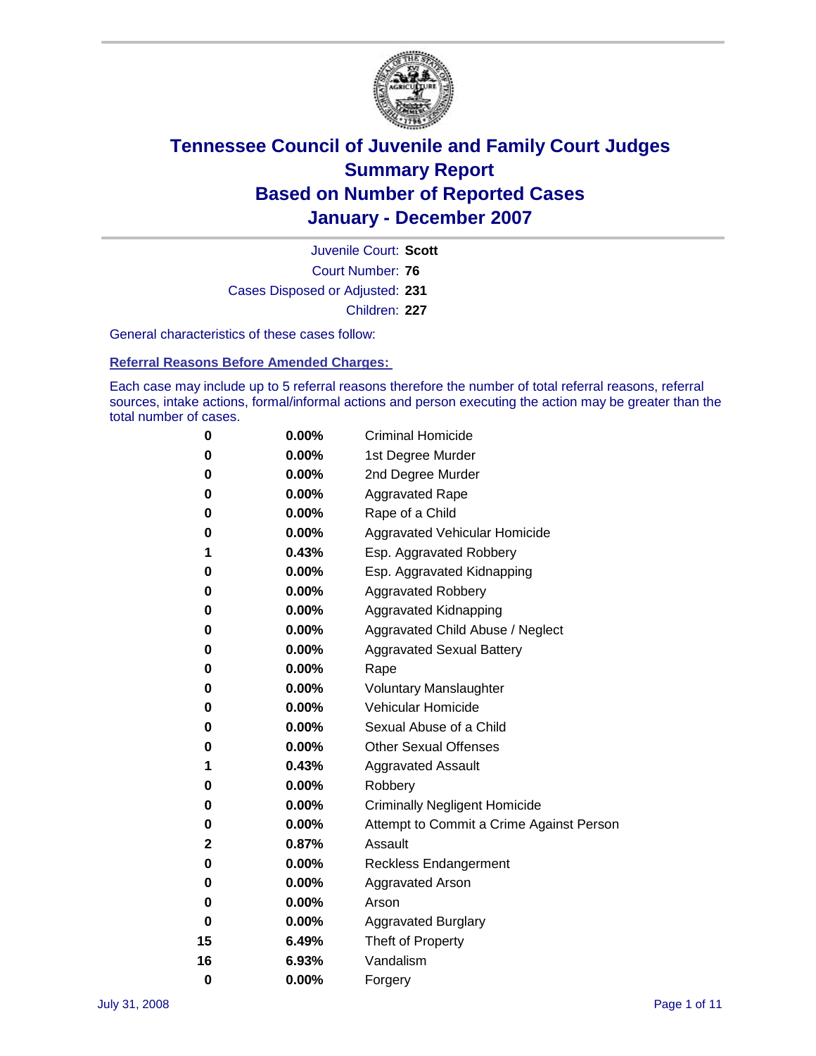

Court Number: **76** Juvenile Court: **Scott** Cases Disposed or Adjusted: **231** Children: **227**

General characteristics of these cases follow:

**Referral Reasons Before Amended Charges:** 

Each case may include up to 5 referral reasons therefore the number of total referral reasons, referral sources, intake actions, formal/informal actions and person executing the action may be greater than the total number of cases.

| 0  | 0.00%    | <b>Criminal Homicide</b>                 |
|----|----------|------------------------------------------|
| 0  | 0.00%    | 1st Degree Murder                        |
| 0  | $0.00\%$ | 2nd Degree Murder                        |
| 0  | 0.00%    | <b>Aggravated Rape</b>                   |
| 0  | 0.00%    | Rape of a Child                          |
| 0  | 0.00%    | Aggravated Vehicular Homicide            |
| 1  | 0.43%    | Esp. Aggravated Robbery                  |
| 0  | 0.00%    | Esp. Aggravated Kidnapping               |
| 0  | 0.00%    | <b>Aggravated Robbery</b>                |
| 0  | $0.00\%$ | Aggravated Kidnapping                    |
| 0  | 0.00%    | Aggravated Child Abuse / Neglect         |
| 0  | $0.00\%$ | <b>Aggravated Sexual Battery</b>         |
| 0  | 0.00%    | Rape                                     |
| 0  | 0.00%    | <b>Voluntary Manslaughter</b>            |
| 0  | 0.00%    | Vehicular Homicide                       |
| 0  | 0.00%    | Sexual Abuse of a Child                  |
| 0  | 0.00%    | <b>Other Sexual Offenses</b>             |
| 1  | 0.43%    | <b>Aggravated Assault</b>                |
| 0  | $0.00\%$ | Robbery                                  |
| 0  | 0.00%    | <b>Criminally Negligent Homicide</b>     |
| 0  | 0.00%    | Attempt to Commit a Crime Against Person |
| 2  | 0.87%    | Assault                                  |
| 0  | 0.00%    | <b>Reckless Endangerment</b>             |
| 0  | $0.00\%$ | Aggravated Arson                         |
| 0  | 0.00%    | Arson                                    |
| 0  | 0.00%    | <b>Aggravated Burglary</b>               |
| 15 | 6.49%    | Theft of Property                        |
| 16 | 6.93%    | Vandalism                                |
| 0  | 0.00%    | Forgery                                  |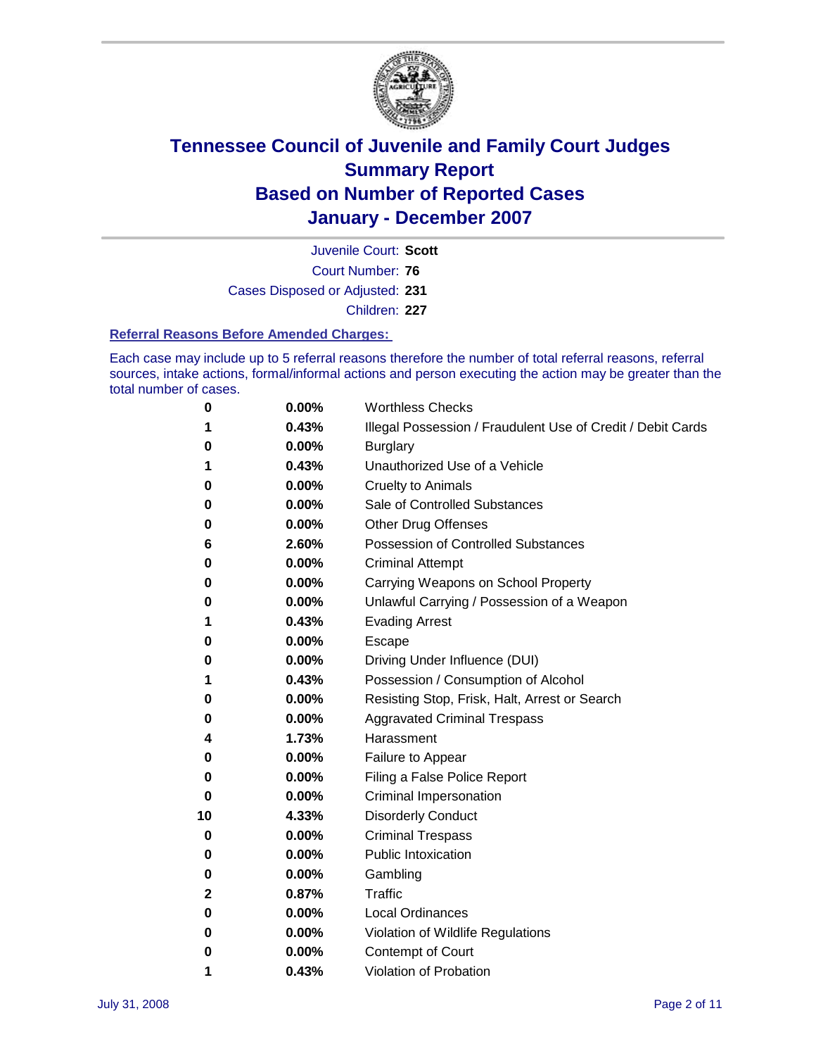

Court Number: **76** Juvenile Court: **Scott** Cases Disposed or Adjusted: **231** Children: **227**

#### **Referral Reasons Before Amended Charges:**

Each case may include up to 5 referral reasons therefore the number of total referral reasons, referral sources, intake actions, formal/informal actions and person executing the action may be greater than the total number of cases.

| 0  | 0.00%    | <b>Worthless Checks</b>                                     |
|----|----------|-------------------------------------------------------------|
| 1  | 0.43%    | Illegal Possession / Fraudulent Use of Credit / Debit Cards |
| 0  | 0.00%    | <b>Burglary</b>                                             |
| 1  | 0.43%    | Unauthorized Use of a Vehicle                               |
| 0  | 0.00%    | <b>Cruelty to Animals</b>                                   |
| 0  | 0.00%    | Sale of Controlled Substances                               |
| 0  | 0.00%    | <b>Other Drug Offenses</b>                                  |
| 6  | 2.60%    | <b>Possession of Controlled Substances</b>                  |
| 0  | 0.00%    | <b>Criminal Attempt</b>                                     |
| 0  | 0.00%    | Carrying Weapons on School Property                         |
| 0  | 0.00%    | Unlawful Carrying / Possession of a Weapon                  |
| 1  | 0.43%    | <b>Evading Arrest</b>                                       |
| 0  | 0.00%    | Escape                                                      |
| 0  | 0.00%    | Driving Under Influence (DUI)                               |
| 1  | 0.43%    | Possession / Consumption of Alcohol                         |
| 0  | 0.00%    | Resisting Stop, Frisk, Halt, Arrest or Search               |
| 0  | 0.00%    | <b>Aggravated Criminal Trespass</b>                         |
| 4  | 1.73%    | Harassment                                                  |
| 0  | 0.00%    | Failure to Appear                                           |
| 0  | 0.00%    | Filing a False Police Report                                |
| 0  | $0.00\%$ | Criminal Impersonation                                      |
| 10 | 4.33%    | <b>Disorderly Conduct</b>                                   |
| 0  | $0.00\%$ | <b>Criminal Trespass</b>                                    |
| 0  | 0.00%    | <b>Public Intoxication</b>                                  |
| 0  | $0.00\%$ | Gambling                                                    |
| 2  | 0.87%    | Traffic                                                     |
| 0  | $0.00\%$ | Local Ordinances                                            |
| 0  | 0.00%    | Violation of Wildlife Regulations                           |
| 0  | 0.00%    | Contempt of Court                                           |
| 1  | 0.43%    | Violation of Probation                                      |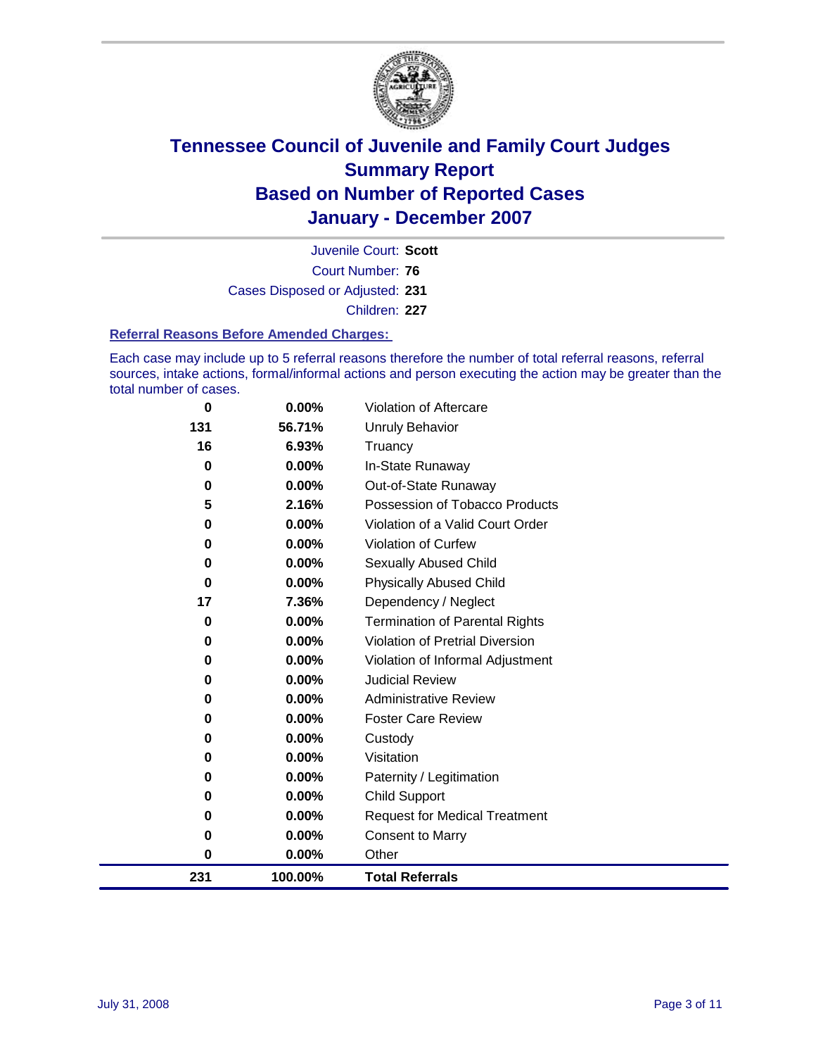

Court Number: **76** Juvenile Court: **Scott** Cases Disposed or Adjusted: **231** Children: **227**

#### **Referral Reasons Before Amended Charges:**

Each case may include up to 5 referral reasons therefore the number of total referral reasons, referral sources, intake actions, formal/informal actions and person executing the action may be greater than the total number of cases.

| 231         | 100.00% | <b>Total Referrals</b>                 |
|-------------|---------|----------------------------------------|
| 0           | 0.00%   | Other                                  |
| 0           | 0.00%   | <b>Consent to Marry</b>                |
| 0           | 0.00%   | <b>Request for Medical Treatment</b>   |
| 0           | 0.00%   | <b>Child Support</b>                   |
| 0           | 0.00%   | Paternity / Legitimation               |
| 0           | 0.00%   | Visitation                             |
| 0           | 0.00%   | Custody                                |
| 0           | 0.00%   | <b>Foster Care Review</b>              |
| 0           | 0.00%   | <b>Administrative Review</b>           |
| 0           | 0.00%   | <b>Judicial Review</b>                 |
| 0           | 0.00%   | Violation of Informal Adjustment       |
| $\bf{0}$    | 0.00%   | <b>Violation of Pretrial Diversion</b> |
| $\bf{0}$    | 0.00%   | <b>Termination of Parental Rights</b>  |
| 17          | 7.36%   | Dependency / Neglect                   |
| $\bf{0}$    | 0.00%   | <b>Physically Abused Child</b>         |
| 0           | 0.00%   | <b>Sexually Abused Child</b>           |
| 0           | 0.00%   | <b>Violation of Curfew</b>             |
| $\bf{0}$    | 0.00%   | Violation of a Valid Court Order       |
| 5           | 2.16%   | Possession of Tobacco Products         |
| $\bf{0}$    | 0.00%   | Out-of-State Runaway                   |
| $\bf{0}$    | 0.00%   | In-State Runaway                       |
| 16          | 6.93%   | Truancy                                |
| 131         | 56.71%  | <b>Unruly Behavior</b>                 |
| $\mathbf 0$ | 0.00%   | Violation of Aftercare                 |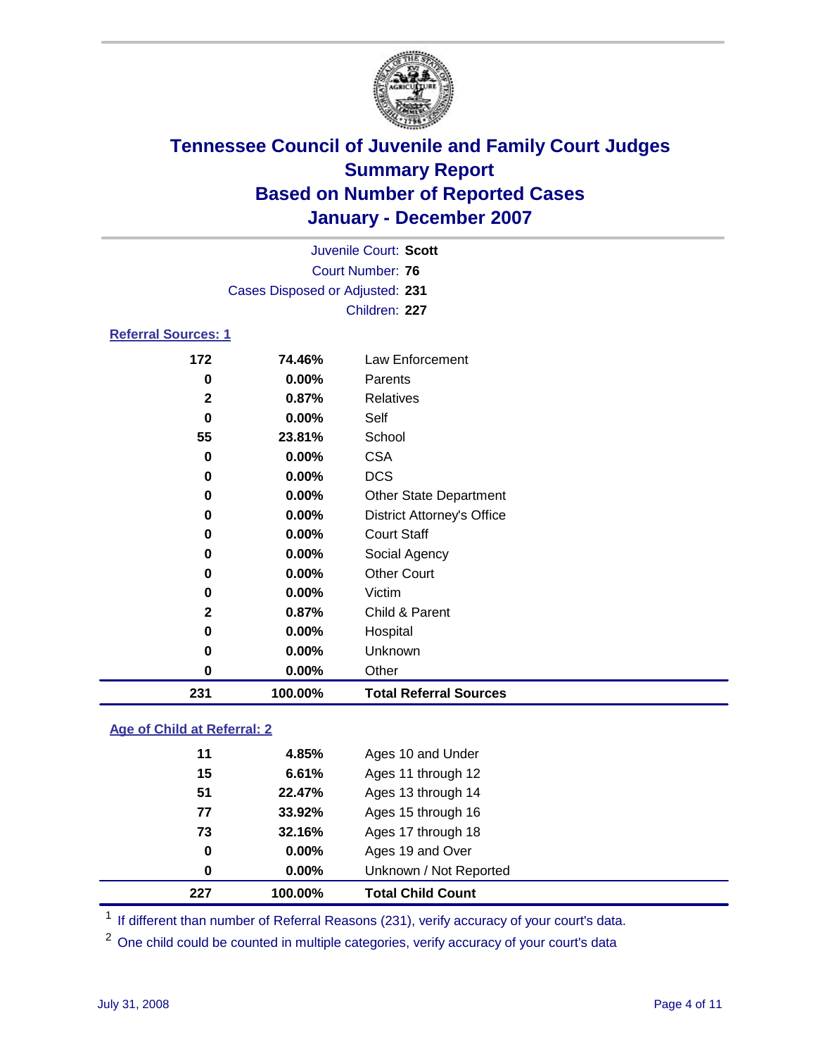

|                            |                                 | Juvenile Court: Scott             |  |  |
|----------------------------|---------------------------------|-----------------------------------|--|--|
| Court Number: 76           |                                 |                                   |  |  |
|                            | Cases Disposed or Adjusted: 231 |                                   |  |  |
|                            |                                 | Children: 227                     |  |  |
| <b>Referral Sources: 1</b> |                                 |                                   |  |  |
| 172                        | 74.46%                          | Law Enforcement                   |  |  |
| 0                          | $0.00\%$                        | Parents                           |  |  |
| $\mathbf{2}$               | 0.87%                           | Relatives                         |  |  |
| $\bf{0}$                   | $0.00\%$                        | Self                              |  |  |
| 55                         | 23.81%                          | School                            |  |  |
| 0                          | $0.00\%$                        | <b>CSA</b>                        |  |  |
| 0                          | $0.00\%$                        | <b>DCS</b>                        |  |  |
| 0                          | 0.00%                           | <b>Other State Department</b>     |  |  |
| 0                          | 0.00%                           | <b>District Attorney's Office</b> |  |  |
| 0                          | $0.00\%$                        | <b>Court Staff</b>                |  |  |
| 0                          | 0.00%                           | Social Agency                     |  |  |
| 0                          | $0.00\%$                        | <b>Other Court</b>                |  |  |
| 0                          | 0.00%                           | Victim                            |  |  |
| 2                          | 0.87%                           | Child & Parent                    |  |  |

| 231 | 100.00%  | <b>Total Referral Sources</b> |
|-----|----------|-------------------------------|
| 0   | $0.00\%$ | Other                         |
| 0   | $0.00\%$ | Unknown                       |
| 0   | $0.00\%$ | Hospital                      |
| -   |          | <u>onna caraana m</u>         |

### **Age of Child at Referral: 2**

| $\bf{0}$ | 0.00%    | Unknown / Not Reported |                                            |
|----------|----------|------------------------|--------------------------------------------|
| 0        | $0.00\%$ | Ages 19 and Over       |                                            |
| 73       | 32.16%   | Ages 17 through 18     |                                            |
| 77       | 33.92%   | Ages 15 through 16     |                                            |
| 51       | 22.47%   | Ages 13 through 14     |                                            |
| 15       | 6.61%    | Ages 11 through 12     |                                            |
| 11       | 4.85%    | Ages 10 and Under      |                                            |
|          |          |                        | 100.00%<br><b>Total Child Count</b><br>227 |

<sup>1</sup> If different than number of Referral Reasons (231), verify accuracy of your court's data.

One child could be counted in multiple categories, verify accuracy of your court's data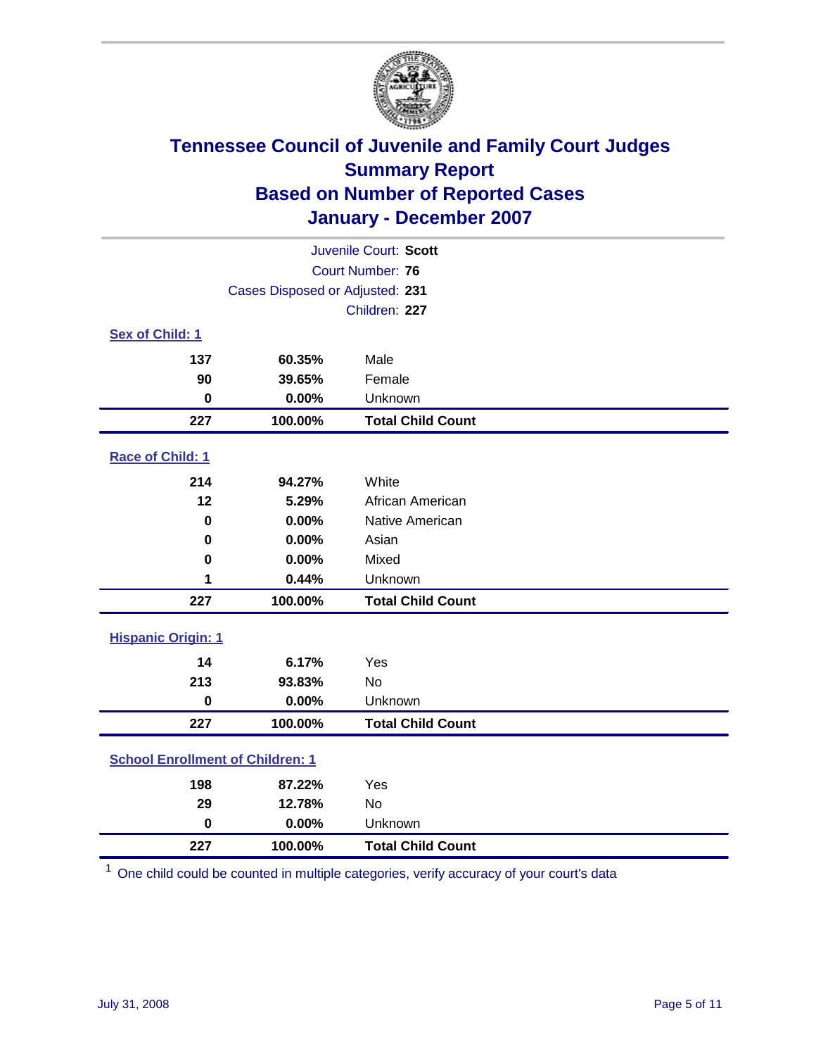

| Juvenile Court: Scott                   |                                 |                          |  |  |
|-----------------------------------------|---------------------------------|--------------------------|--|--|
| Court Number: 76                        |                                 |                          |  |  |
|                                         | Cases Disposed or Adjusted: 231 |                          |  |  |
|                                         |                                 | Children: 227            |  |  |
| Sex of Child: 1                         |                                 |                          |  |  |
| 137                                     | 60.35%                          | Male                     |  |  |
| 90                                      | 39.65%                          | Female                   |  |  |
| $\bf{0}$                                | 0.00%                           | Unknown                  |  |  |
| 227                                     | 100.00%                         | <b>Total Child Count</b> |  |  |
| Race of Child: 1                        |                                 |                          |  |  |
| 214                                     | 94.27%                          | White                    |  |  |
| 12                                      | 5.29%                           | African American         |  |  |
| 0                                       | 0.00%                           | Native American          |  |  |
| 0                                       | 0.00%                           | Asian                    |  |  |
| $\bf{0}$                                | 0.00%                           | Mixed                    |  |  |
| 1                                       | 0.44%                           | Unknown                  |  |  |
| 227                                     | 100.00%                         | <b>Total Child Count</b> |  |  |
| <b>Hispanic Origin: 1</b>               |                                 |                          |  |  |
| 14                                      | 6.17%                           | Yes                      |  |  |
| 213                                     | 93.83%                          | <b>No</b>                |  |  |
| $\mathbf 0$                             | 0.00%                           | Unknown                  |  |  |
| 227                                     | 100.00%                         | <b>Total Child Count</b> |  |  |
| <b>School Enrollment of Children: 1</b> |                                 |                          |  |  |
| 198                                     | 87.22%                          | Yes                      |  |  |
| 29                                      | 12.78%                          | No                       |  |  |
| $\mathbf 0$                             | 0.00%                           | Unknown                  |  |  |
| 227                                     | 100.00%                         | <b>Total Child Count</b> |  |  |

One child could be counted in multiple categories, verify accuracy of your court's data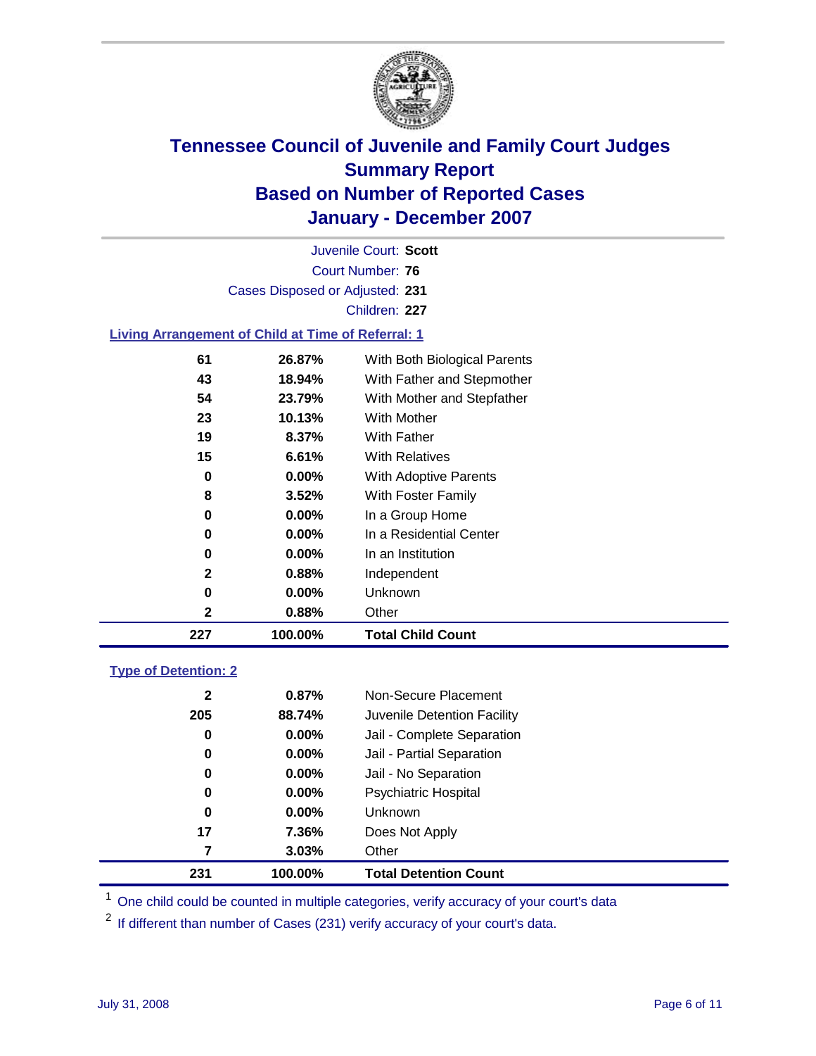

Court Number: **76** Juvenile Court: **Scott** Cases Disposed or Adjusted: **231** Children: **227 Living Arrangement of Child at Time of Referral: 1**

| 227 | 100.00%  | <b>Total Child Count</b>     |
|-----|----------|------------------------------|
| 2   | 0.88%    | Other                        |
| 0   | 0.00%    | Unknown                      |
| 2   | $0.88\%$ | Independent                  |
| 0   | 0.00%    | In an Institution            |
| 0   | $0.00\%$ | In a Residential Center      |
| 0   | $0.00\%$ | In a Group Home              |
| 8   | 3.52%    | With Foster Family           |
| 0   | $0.00\%$ | <b>With Adoptive Parents</b> |
| 15  | 6.61%    | <b>With Relatives</b>        |
| 19  | 8.37%    | With Father                  |
| 23  | 10.13%   | <b>With Mother</b>           |
| 54  | 23.79%   | With Mother and Stepfather   |
| 43  | 18.94%   | With Father and Stepmother   |
| 61  | 26.87%   | With Both Biological Parents |

### **Type of Detention: 2**

| 231          | 100.00%  | <b>Total Detention Count</b> |  |
|--------------|----------|------------------------------|--|
| 7            | 3.03%    | Other                        |  |
| 17           | 7.36%    | Does Not Apply               |  |
| 0            | $0.00\%$ | Unknown                      |  |
| 0            | 0.00%    | <b>Psychiatric Hospital</b>  |  |
| 0            | 0.00%    | Jail - No Separation         |  |
| 0            | $0.00\%$ | Jail - Partial Separation    |  |
| 0            | $0.00\%$ | Jail - Complete Separation   |  |
| 205          | 88.74%   | Juvenile Detention Facility  |  |
| $\mathbf{2}$ | 0.87%    | Non-Secure Placement         |  |
|              |          |                              |  |

<sup>1</sup> One child could be counted in multiple categories, verify accuracy of your court's data

<sup>2</sup> If different than number of Cases (231) verify accuracy of your court's data.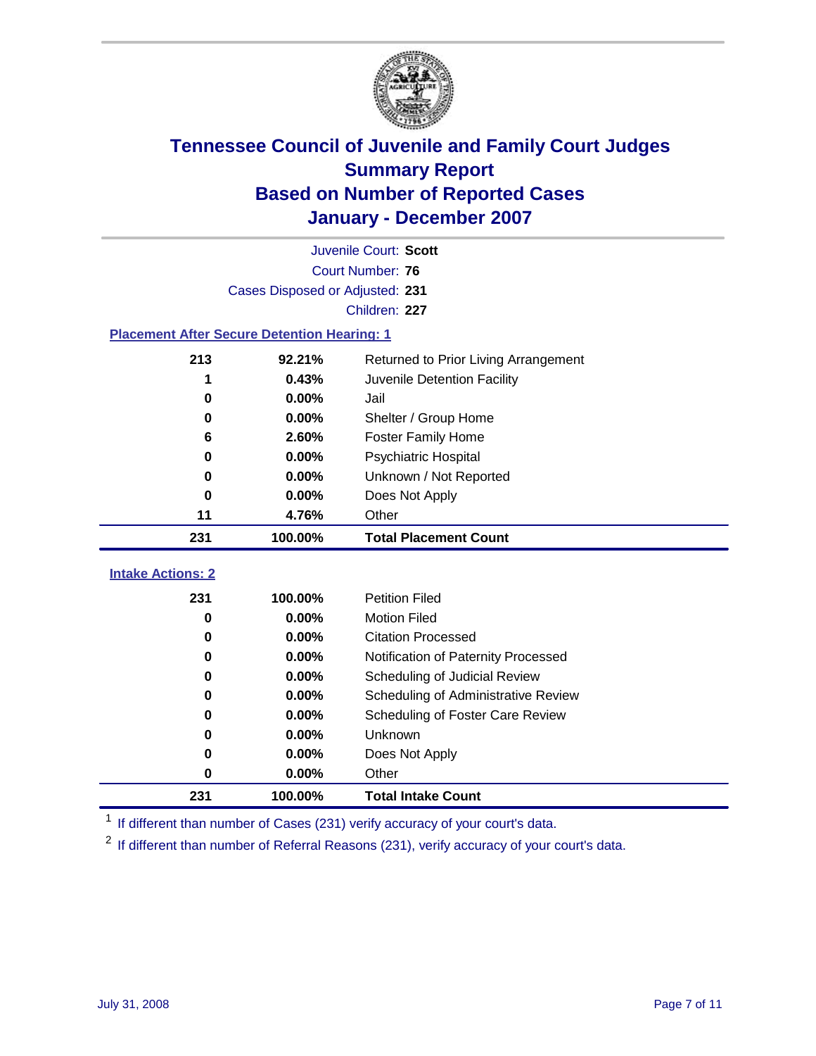

|                                                    | Juvenile Court: Scott           |                                      |  |  |  |
|----------------------------------------------------|---------------------------------|--------------------------------------|--|--|--|
|                                                    | Court Number: 76                |                                      |  |  |  |
|                                                    | Cases Disposed or Adjusted: 231 |                                      |  |  |  |
|                                                    |                                 | Children: 227                        |  |  |  |
| <b>Placement After Secure Detention Hearing: 1</b> |                                 |                                      |  |  |  |
| 213                                                | 92.21%                          | Returned to Prior Living Arrangement |  |  |  |
| 1                                                  | 0.43%                           | Juvenile Detention Facility          |  |  |  |
| 0                                                  | 0.00%                           | Jail                                 |  |  |  |
| $\bf{0}$                                           | 0.00%                           | Shelter / Group Home                 |  |  |  |
| 6                                                  | 2.60%                           | <b>Foster Family Home</b>            |  |  |  |
| 0                                                  | 0.00%                           | Psychiatric Hospital                 |  |  |  |
| 0                                                  | 0.00%                           | Unknown / Not Reported               |  |  |  |
| 0                                                  | 0.00%                           | Does Not Apply                       |  |  |  |
| 11                                                 | 4.76%                           | Other                                |  |  |  |
| 231                                                | 100.00%                         | <b>Total Placement Count</b>         |  |  |  |
| <b>Intake Actions: 2</b>                           |                                 |                                      |  |  |  |
| 231                                                | 100.00%                         | <b>Petition Filed</b>                |  |  |  |
| $\bf{0}$                                           | 0.00%                           | <b>Motion Filed</b>                  |  |  |  |
| $\bf{0}$                                           | 0.00%                           | <b>Citation Processed</b>            |  |  |  |
| 0                                                  | 0.00%                           | Notification of Paternity Processed  |  |  |  |
| $\bf{0}$                                           | 0.00%                           | Scheduling of Judicial Review        |  |  |  |
| $\bf{0}$                                           | 0.00%                           | Scheduling of Administrative Review  |  |  |  |
| 0                                                  | 0.00%                           | Scheduling of Foster Care Review     |  |  |  |
| $\bf{0}$                                           | 0.00%                           | Unknown                              |  |  |  |
| 0                                                  | 0.00%                           | Does Not Apply                       |  |  |  |
| $\bf{0}$                                           | 0.00%                           | Other                                |  |  |  |
| 231                                                | 100.00%                         | <b>Total Intake Count</b>            |  |  |  |

<sup>1</sup> If different than number of Cases (231) verify accuracy of your court's data.

<sup>2</sup> If different than number of Referral Reasons (231), verify accuracy of your court's data.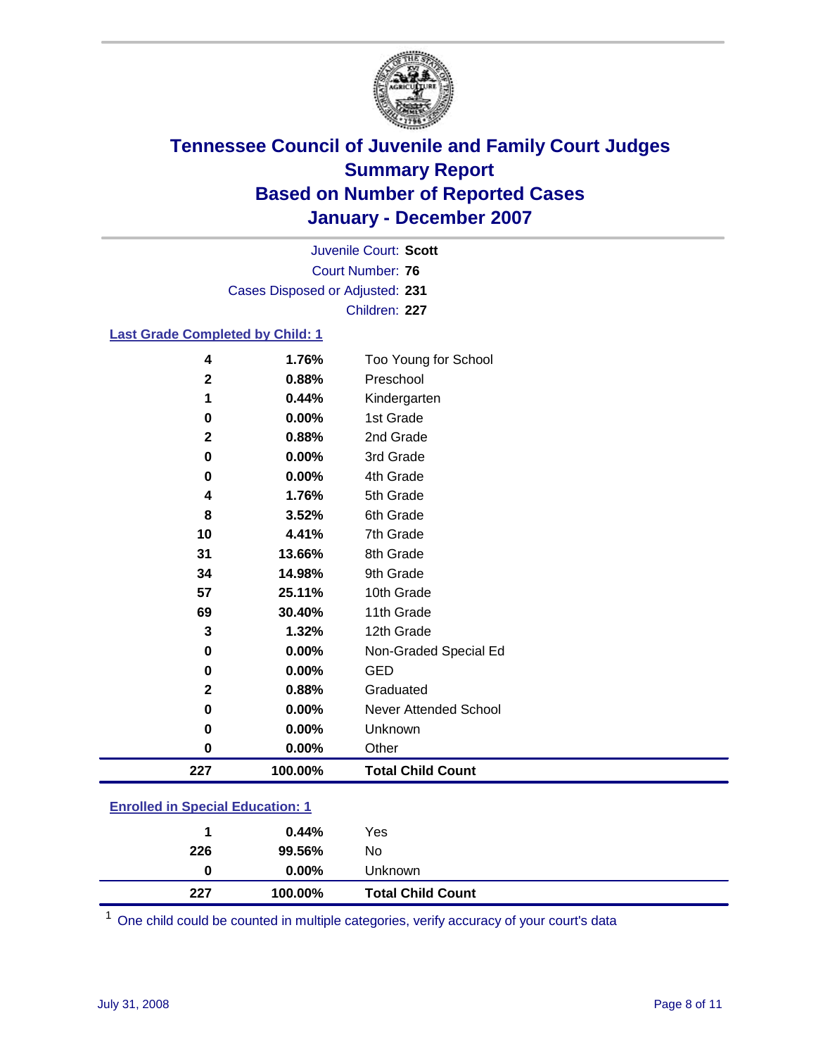

Court Number: **76** Juvenile Court: **Scott** Cases Disposed or Adjusted: **231** Children: **227**

#### **Last Grade Completed by Child: 1**

| 4            | 1.76%   | Too Young for School     |
|--------------|---------|--------------------------|
| $\mathbf{2}$ | 0.88%   | Preschool                |
| 1            | 0.44%   | Kindergarten             |
| 0            | 0.00%   | 1st Grade                |
| $\mathbf{2}$ | 0.88%   | 2nd Grade                |
| 0            | 0.00%   | 3rd Grade                |
| 0            | 0.00%   | 4th Grade                |
| 4            | 1.76%   | 5th Grade                |
| 8            | 3.52%   | 6th Grade                |
| 10           | 4.41%   | 7th Grade                |
| 31           | 13.66%  | 8th Grade                |
| 34           | 14.98%  | 9th Grade                |
| 57           | 25.11%  | 10th Grade               |
| 69           | 30.40%  | 11th Grade               |
| 3            | 1.32%   | 12th Grade               |
| 0            | 0.00%   | Non-Graded Special Ed    |
| 0            | 0.00%   | <b>GED</b>               |
| $\mathbf{2}$ | 0.88%   | Graduated                |
| 0            | 0.00%   | Never Attended School    |
| 0            | 0.00%   | Unknown                  |
| 0            | 0.00%   | Other                    |
| 227          | 100.00% | <b>Total Child Count</b> |

### **Enrolled in Special Education: 1**

| 227 | 100.00%  | <b>Total Child Count</b> |
|-----|----------|--------------------------|
| 0   | $0.00\%$ | Unknown                  |
| 226 | 99.56%   | No                       |
|     | $0.44\%$ | Yes                      |
|     |          |                          |

<sup>1</sup> One child could be counted in multiple categories, verify accuracy of your court's data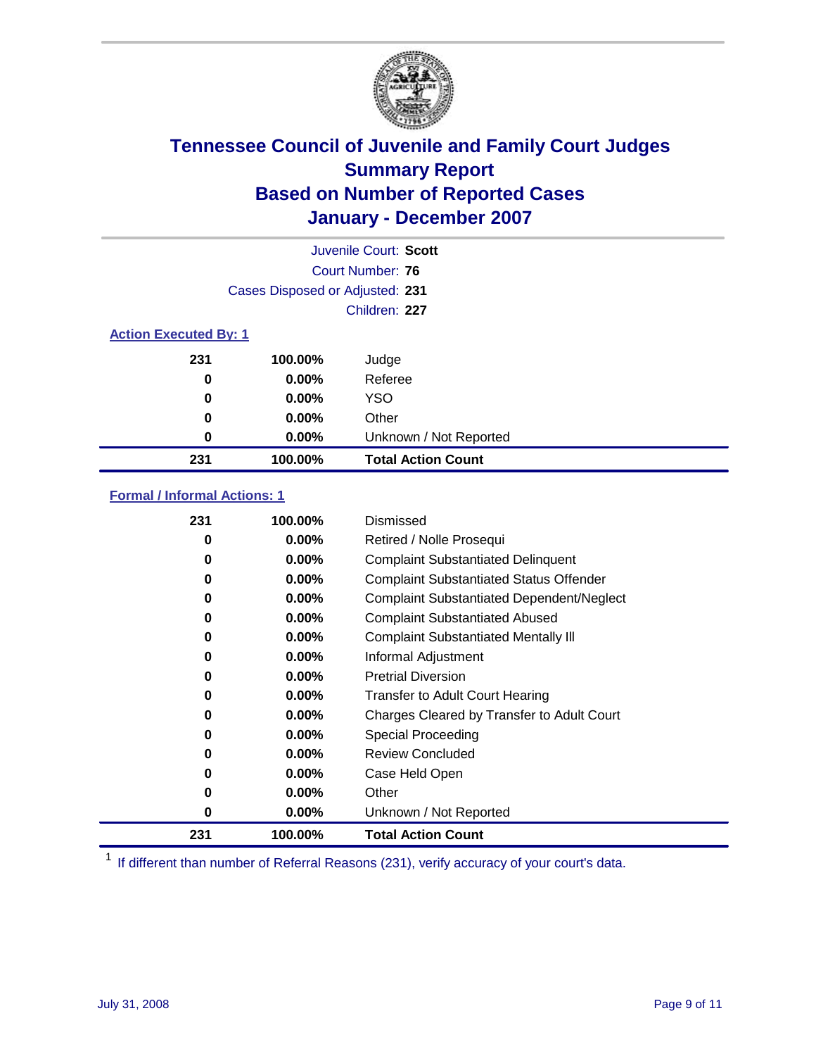

|                              |                                 | Juvenile Court: Scott     |
|------------------------------|---------------------------------|---------------------------|
|                              |                                 | Court Number: 76          |
|                              | Cases Disposed or Adjusted: 231 |                           |
|                              |                                 | Children: 227             |
| <b>Action Executed By: 1</b> |                                 |                           |
| 231                          | 100.00%                         | Judge                     |
| 0                            | $0.00\%$                        | Referee                   |
| 0                            | $0.00\%$                        | <b>YSO</b>                |
| 0                            | 0.00%                           | Other                     |
| 0                            | 0.00%                           | Unknown / Not Reported    |
| 231                          | 100.00%                         | <b>Total Action Count</b> |

### **Formal / Informal Actions: 1**

| 231 | 100.00%  | Dismissed                                        |
|-----|----------|--------------------------------------------------|
| 0   | $0.00\%$ | Retired / Nolle Prosequi                         |
| 0   | $0.00\%$ | <b>Complaint Substantiated Delinquent</b>        |
| 0   | $0.00\%$ | <b>Complaint Substantiated Status Offender</b>   |
| 0   | $0.00\%$ | <b>Complaint Substantiated Dependent/Neglect</b> |
| 0   | $0.00\%$ | <b>Complaint Substantiated Abused</b>            |
| 0   | $0.00\%$ | <b>Complaint Substantiated Mentally III</b>      |
| 0   | $0.00\%$ | Informal Adjustment                              |
| 0   | $0.00\%$ | <b>Pretrial Diversion</b>                        |
| 0   | $0.00\%$ | <b>Transfer to Adult Court Hearing</b>           |
| 0   | $0.00\%$ | Charges Cleared by Transfer to Adult Court       |
| 0   | $0.00\%$ | Special Proceeding                               |
| 0   | $0.00\%$ | <b>Review Concluded</b>                          |
| 0   | $0.00\%$ | Case Held Open                                   |
| 0   | $0.00\%$ | Other                                            |
| 0   | 0.00%    | Unknown / Not Reported                           |
| 231 | 100.00%  | <b>Total Action Count</b>                        |

<sup>1</sup> If different than number of Referral Reasons (231), verify accuracy of your court's data.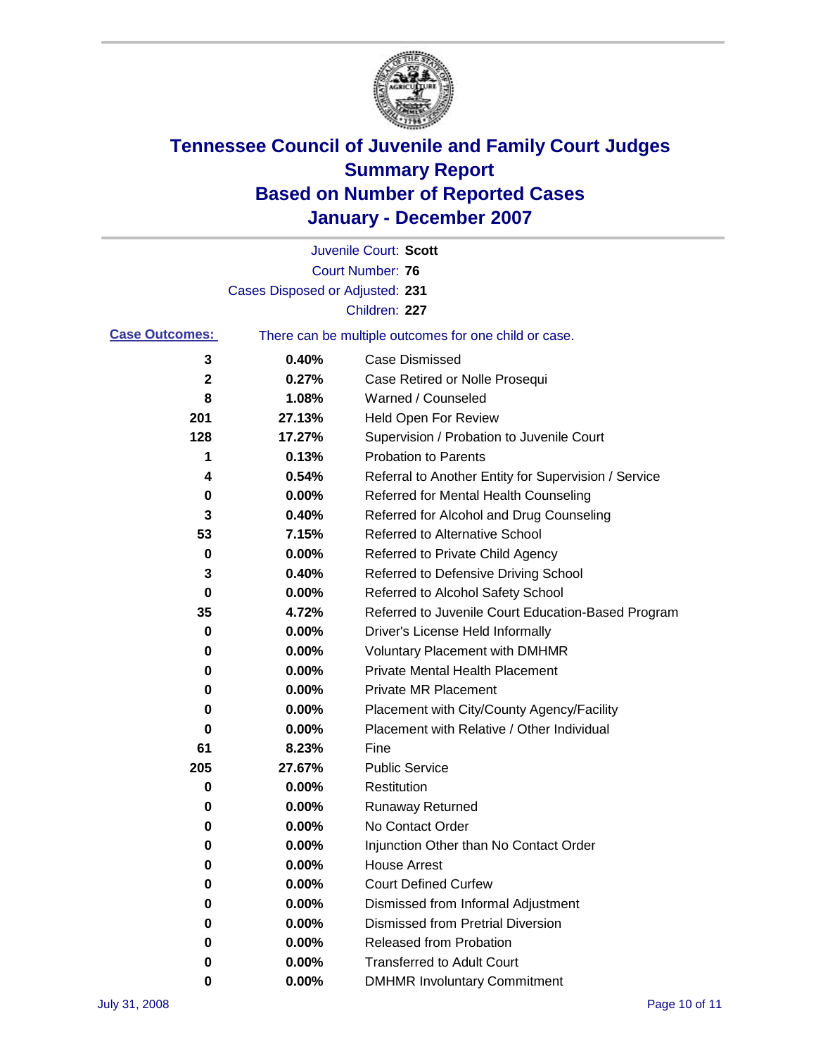

|                       |                                 | Juvenile Court: Scott                                 |
|-----------------------|---------------------------------|-------------------------------------------------------|
|                       |                                 | <b>Court Number: 76</b>                               |
|                       | Cases Disposed or Adjusted: 231 |                                                       |
|                       |                                 | Children: 227                                         |
| <b>Case Outcomes:</b> |                                 | There can be multiple outcomes for one child or case. |
| 3                     | 0.40%                           | <b>Case Dismissed</b>                                 |
| 2                     | 0.27%                           | Case Retired or Nolle Prosequi                        |
| 8                     | 1.08%                           | Warned / Counseled                                    |
| 201                   | 27.13%                          | <b>Held Open For Review</b>                           |
| 128                   | 17.27%                          | Supervision / Probation to Juvenile Court             |
| 1                     | 0.13%                           | <b>Probation to Parents</b>                           |
| 4                     | 0.54%                           | Referral to Another Entity for Supervision / Service  |
| 0                     | 0.00%                           | Referred for Mental Health Counseling                 |
| 3                     | 0.40%                           | Referred for Alcohol and Drug Counseling              |
| 53                    | 7.15%                           | <b>Referred to Alternative School</b>                 |
| 0                     | 0.00%                           | Referred to Private Child Agency                      |
| 3                     | 0.40%                           | Referred to Defensive Driving School                  |
| 0                     | 0.00%                           | Referred to Alcohol Safety School                     |
| 35                    | 4.72%                           | Referred to Juvenile Court Education-Based Program    |
| 0                     | 0.00%                           | Driver's License Held Informally                      |
| 0                     | 0.00%                           | <b>Voluntary Placement with DMHMR</b>                 |
| 0                     | 0.00%                           | <b>Private Mental Health Placement</b>                |
| 0                     | 0.00%                           | <b>Private MR Placement</b>                           |
| 0                     | 0.00%                           | Placement with City/County Agency/Facility            |
| 0                     | $0.00\%$                        | Placement with Relative / Other Individual            |
| 61                    | 8.23%                           | Fine                                                  |
| 205                   | 27.67%                          | <b>Public Service</b>                                 |
| 0                     | 0.00%                           | Restitution                                           |
| 0                     | 0.00%                           | <b>Runaway Returned</b>                               |
| 0                     | 0.00%                           | No Contact Order                                      |
| 0                     | $0.00\%$                        | Injunction Other than No Contact Order                |
| 0                     | 0.00%                           | <b>House Arrest</b>                                   |
| 0                     | 0.00%                           | <b>Court Defined Curfew</b>                           |
| 0                     | 0.00%                           | Dismissed from Informal Adjustment                    |
| 0                     | 0.00%                           | <b>Dismissed from Pretrial Diversion</b>              |
| 0                     | 0.00%                           | <b>Released from Probation</b>                        |
| 0                     | 0.00%                           | <b>Transferred to Adult Court</b>                     |
| 0                     | $0.00\%$                        | <b>DMHMR Involuntary Commitment</b>                   |